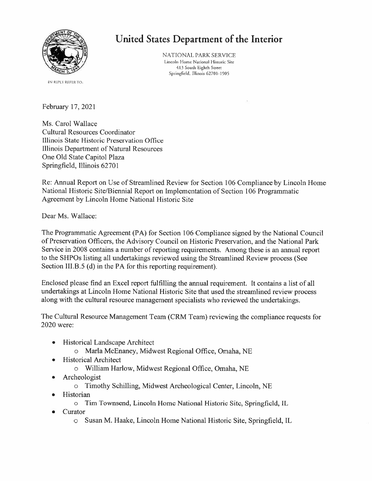

#### IN REPLY REFER TO:

United States Department of the Interior

NATIONAL PARK SERVICE Lincoln Home National Historic Site 413 South Eighth Street Springfield, Illinois 62701-1905

February 17, 2021

Ms. Carol Wallace Cultural Resources Coordinator Illinois State Historic Preservation Office Illinois Department of Natural Resources One Old State Capitol Plaza Springfield, Illinois 62701

Re: Annual Report on Use of Streamlined Review for Section 106 Compliance by Lincoln Home National Historic Site/Biennial Report on Implementation of Section 106 Programmatic Agreement by Lincoln Home National Historic Site

Dear Ms. Wallace:

The Programmatic Agreement (PA) for Section 106 Compliance signed by the National Council of Preservation Officers, the Advisory Council on Historic Preservation, and the National Park Service in 2008 contains a number of reporting requirements. Among these is an annual report to the SHPOs listing all undertakings reviewed using the Streamlined Review process (See Section III.B.5 (d) in the PA for this reporting requirement).

Enclosed please find an Excel report fulfilling the annual requirement. It contains a list of all undertakings at Lincoln Home National Historic Site that used the streamlined review process along with the cultural resource management specialists who reviewed the undertakings.

The Cultural Resource Management Team (CRM Team) reviewing the compliance requests for 2020 were:

- **Historical Landscape Architect**  $\bullet$ 
	- o Marla McEnaney, Midwest Regional Office, Omaha, NE
- **Historical Architect**  $\bullet$ 
	- o William Harlow, Midwest Regional Office, Omaha, NE
- Archeologist
	- o Timothy Schilling, Midwest Archeological Center, Lincoln, NE
- Historian  $\bullet$ 
	- o Tim Townsend, Lincoln Home National Historic Site, Springfield, IL
- Curator
	- o Susan M. Haake, Lincoln Home National Historic Site, Springfield, IL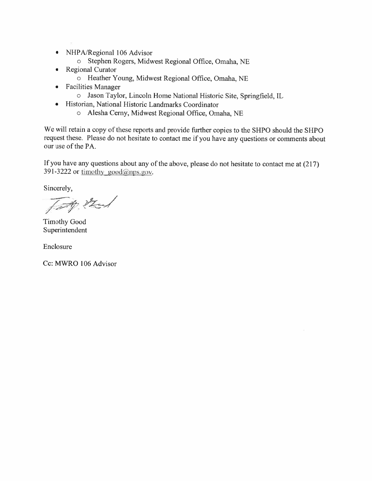- NHPA/Regional 106 Advisor  $\bullet$ 
	- o Stephen Rogers, Midwest Regional Office, Omaha, NE
- **Regional Curator**  $\bullet$ 
	- O Heather Young, Midwest Regional Office, Omaha, NE
- **Facilities Manager**  $\bullet$ 
	- o Jason Taylor, Lincoln Home National Historic Site, Springfield, IL
- Historian, National Historic Landmarks Coordinator
	- o Alesha Cerny, Midwest Regional Office, Omaha, NE

We will retain a copy of these reports and provide further copies to the SHPO should the SHPO request these. Please do not hesitate to contact me if you have any questions or comments about our use of the PA.

If you have any questions about any of the above, please do not hesitate to contact me at (217) 391-3222 or timothy good@nps.gov.

Sincerely,

Tatt that

**Timothy Good** Superintendent

Enclosure

Cc: MWRO 106 Advisor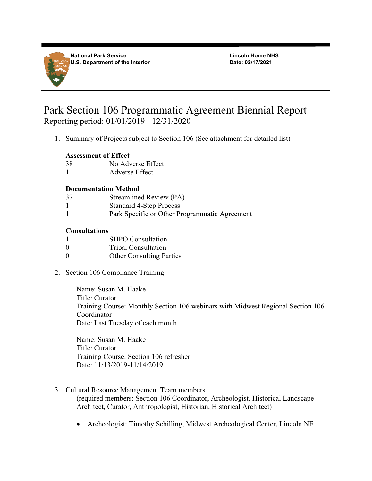

**National Park Service U.S. Department of the Interior** **Lincoln Home NHS Date: 02/17/2021**

# Park Section 106 Programmatic Agreement Biennial Report Reporting period: 01/01/2019 - 12/31/2020

1. Summary of Projects subject to Section 106 (See attachment for detailed list)

#### **Assessment of Effect**

- 38 No Adverse Effect
- 1 Adverse Effect

## **Documentation Method**

- 37 Streamlined Review (PA)
- 1 Standard 4-Step Process
- 1 Park Specific or Other Programmatic Agreement

## **Consultations**

- 1 SHPO Consultation
- 0 Tribal Consultation
- 0 Other Consulting Parties
- 2. Section 106 Compliance Training

Name: Susan M. Haake Title: Curator Training Course: Monthly Section 106 webinars with Midwest Regional Section 106 Coordinator Date: Last Tuesday of each month

Name: Susan M. Haake Title: Curator Training Course: Section 106 refresher Date: 11/13/2019-11/14/2019

3. Cultural Resource Management Team members

(required members: Section 106 Coordinator, Archeologist, Historical Landscape Architect, Curator, Anthropologist, Historian, Historical Architect)

• Archeologist: Timothy Schilling, Midwest Archeological Center, Lincoln NE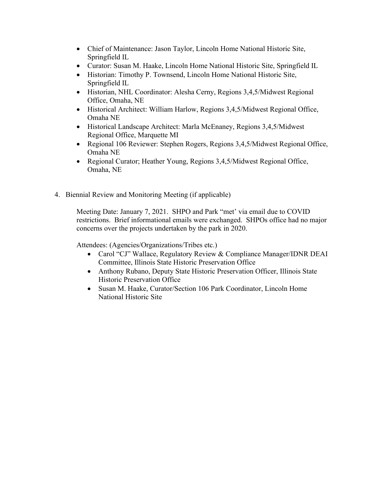- Chief of Maintenance: Jason Taylor, Lincoln Home National Historic Site, Springfield IL
- Curator: Susan M. Haake, Lincoln Home National Historic Site, Springfield IL
- Historian: Timothy P. Townsend, Lincoln Home National Historic Site, Springfield IL
- Historian, NHL Coordinator: Alesha Cerny, Regions 3,4,5/Midwest Regional Office, Omaha, NE
- Historical Architect: William Harlow, Regions 3,4,5/Midwest Regional Office, Omaha NE
- Historical Landscape Architect: Marla McEnaney, Regions 3,4,5/Midwest Regional Office, Marquette MI
- Regional 106 Reviewer: Stephen Rogers, Regions 3,4,5/Midwest Regional Office, Omaha NE
- Regional Curator; Heather Young, Regions 3,4,5/Midwest Regional Office, Omaha, NE
- 4. Biennial Review and Monitoring Meeting (if applicable)

Meeting Date: January 7, 2021. SHPO and Park "met' via email due to COVID restrictions. Brief informational emails were exchanged. SHPOs office had no major concerns over the projects undertaken by the park in 2020.

Attendees: (Agencies/Organizations/Tribes etc.)

- Carol "CJ" Wallace, Regulatory Review & Compliance Manager/IDNR DEAI Committee, Illinois State Historic Preservation Office
- Anthony Rubano, Deputy State Historic Preservation Officer, Illinois State Historic Preservation Office
- Susan M. Haake, Curator/Section 106 Park Coordinator, Lincoln Home National Historic Site